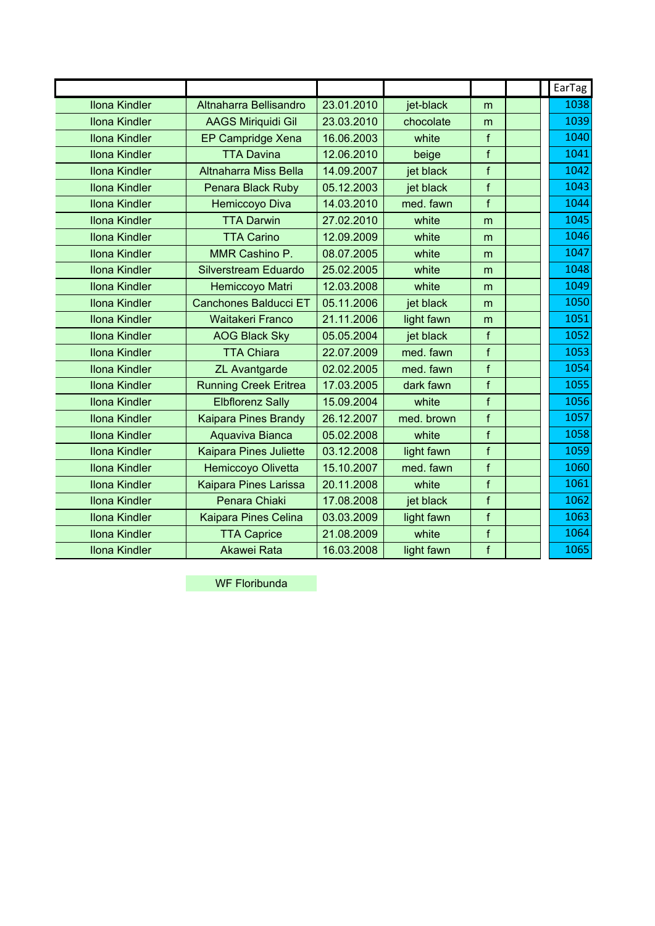|                      |                               |            |            |              | EarTag |
|----------------------|-------------------------------|------------|------------|--------------|--------|
| <b>Ilona Kindler</b> | Altnaharra Bellisandro        | 23.01.2010 | jet-black  | m            | 1038   |
| <b>Ilona Kindler</b> | <b>AAGS Miriquidi Gil</b>     | 23.03.2010 | chocolate  | m            | 1039   |
| <b>Ilona Kindler</b> | EP Campridge Xena             | 16.06.2003 | white      | f            | 1040   |
| <b>Ilona Kindler</b> | <b>TTA Davina</b>             | 12.06.2010 | beige      | $\mathsf{f}$ | 1041   |
| <b>Ilona Kindler</b> | Altnaharra Miss Bella         | 14.09.2007 | jet black  | f            | 1042   |
| <b>Ilona Kindler</b> | Penara Black Ruby             | 05.12.2003 | jet black  | f            | 1043   |
| <b>Ilona Kindler</b> | Hemiccoyo Diva                | 14.03.2010 | med. fawn  | f            | 1044   |
| <b>Ilona Kindler</b> | <b>TTA Darwin</b>             | 27.02.2010 | white      | m            | 1045   |
| <b>Ilona Kindler</b> | <b>TTA Carino</b>             | 12.09.2009 | white      | m            | 1046   |
| <b>Ilona Kindler</b> | MMR Cashino P.                | 08.07.2005 | white      | m            | 1047   |
| <b>Ilona Kindler</b> | <b>Silverstream Eduardo</b>   | 25.02.2005 | white      | m            | 1048   |
| <b>Ilona Kindler</b> | Hemiccoyo Matri               | 12.03.2008 | white      | m            | 1049   |
| <b>Ilona Kindler</b> | <b>Canchones Balducci ET</b>  | 05.11.2006 | jet black  | m            | 1050   |
| <b>Ilona Kindler</b> | <b>Waitakeri Franco</b>       | 21.11.2006 | light fawn | m            | 1051   |
| <b>Ilona Kindler</b> | <b>AOG Black Sky</b>          | 05.05.2004 | jet black  | f            | 1052   |
| <b>Ilona Kindler</b> | <b>TTA Chiara</b>             | 22.07.2009 | med. fawn  | f            | 1053   |
| <b>Ilona Kindler</b> | <b>ZL Avantgarde</b>          | 02.02.2005 | med. fawn  | $\mathsf{f}$ | 1054   |
| <b>Ilona Kindler</b> | <b>Running Creek Eritrea</b>  | 17.03.2005 | dark fawn  | f            | 1055   |
| <b>Ilona Kindler</b> | <b>Elbflorenz Sally</b>       | 15.09.2004 | white      | $\mathsf{f}$ | 1056   |
| <b>Ilona Kindler</b> | <b>Kaipara Pines Brandy</b>   | 26.12.2007 | med. brown | f            | 1057   |
| <b>Ilona Kindler</b> | Aquaviva Bianca               | 05.02.2008 | white      | $\mathsf{f}$ | 1058   |
| <b>Ilona Kindler</b> | <b>Kaipara Pines Juliette</b> | 03.12.2008 | light fawn | $\mathsf{f}$ | 1059   |
| <b>Ilona Kindler</b> | Hemiccoyo Olivetta            | 15.10.2007 | med. fawn  | $\mathsf{f}$ | 1060   |
| <b>Ilona Kindler</b> | Kaipara Pines Larissa         | 20.11.2008 | white      | f            | 1061   |
| <b>Ilona Kindler</b> | Penara Chiaki                 | 17.08.2008 | jet black  | f            | 1062   |
| <b>Ilona Kindler</b> | <b>Kaipara Pines Celina</b>   | 03.03.2009 | light fawn | $\mathsf{f}$ | 1063   |
| <b>Ilona Kindler</b> | <b>TTA Caprice</b>            | 21.08.2009 | white      | $\mathsf{f}$ | 1064   |
| <b>Ilona Kindler</b> | Akawei Rata                   | 16.03.2008 | light fawn | $\mathsf{f}$ | 1065   |

WF Floribunda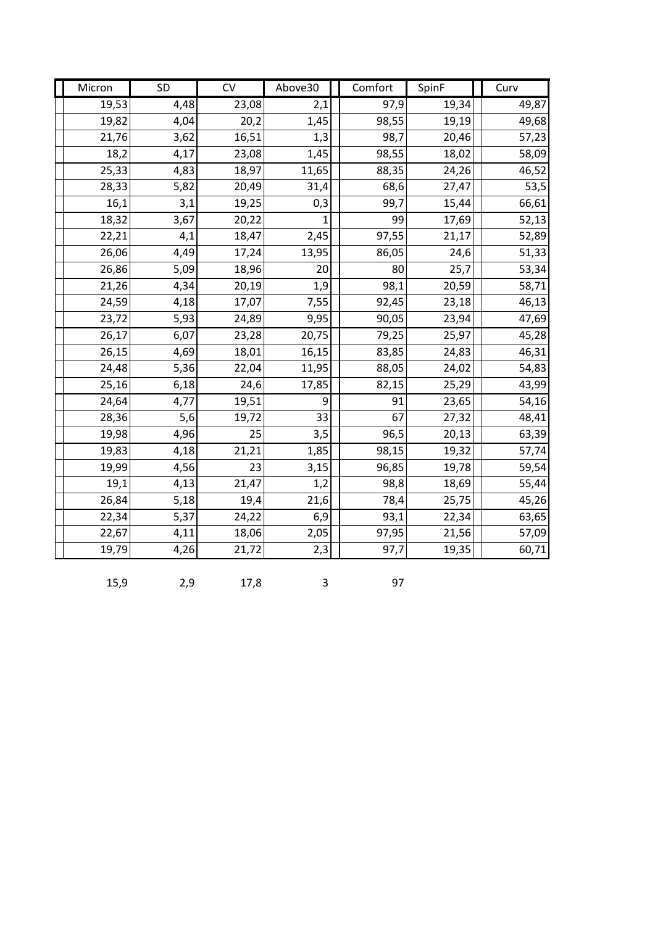| Micron | <b>SD</b> | CV    | Above30 | Comfort | SpinF | Curv               |
|--------|-----------|-------|---------|---------|-------|--------------------|
| 19,53  | 4,48      | 23,08 | 2,1     | 97,9    | 19,34 | 49,87              |
| 19,82  | 4,04      | 20,2  | 1,45    | 98,55   | 19,19 | 49,68              |
| 21,76  | 3,62      | 16,51 | 1,3     | 98,7    | 20,46 | 57,23              |
| 18,2   | 4,17      | 23,08 | 1,45    | 98,55   | 18,02 | 58,09              |
| 25,33  | 4,83      | 18,97 | 11,65   | 88,35   | 24,26 | 46,52              |
| 28,33  | 5,82      | 20,49 | 31,4    | 68,6    | 27,47 | 53,5               |
| 16,1   | 3,1       | 19,25 | 0,3     | 99,7    | 15,44 | 66,61              |
| 18,32  | 3,67      | 20,22 | 1       | 99      | 17,69 | $\overline{52,13}$ |
| 22,21  | 4,1       | 18,47 | 2,45    | 97,55   | 21,17 | 52,89              |
| 26,06  | 4,49      | 17,24 | 13,95   | 86,05   | 24,6  | 51,33              |
| 26,86  | 5,09      | 18,96 | 20      | 80      | 25,7  | 53,34              |
| 21,26  | 4,34      | 20,19 | 1,9     | 98,1    | 20,59 | 58,71              |
| 24,59  | 4,18      | 17,07 | 7,55    | 92,45   | 23,18 | 46,13              |
| 23,72  | 5,93      | 24,89 | 9,95    | 90,05   | 23,94 | 47,69              |
| 26,17  | 6,07      | 23,28 | 20,75   | 79,25   | 25,97 | 45,28              |
| 26,15  | 4,69      | 18,01 | 16,15   | 83,85   | 24,83 | 46,31              |
| 24,48  | 5,36      | 22,04 | 11,95   | 88,05   | 24,02 | 54,83              |
| 25,16  | 6,18      | 24,6  | 17,85   | 82,15   | 25,29 | 43,99              |
| 24,64  | 4,77      | 19,51 | 9       | 91      | 23,65 | 54,16              |
| 28,36  | 5,6       | 19,72 | 33      | 67      | 27,32 | 48,41              |
| 19,98  | 4,96      | 25    | 3,5     | 96,5    | 20,13 | 63,39              |
| 19,83  | 4,18      | 21,21 | 1,85    | 98,15   | 19,32 | 57,74              |
| 19,99  | 4,56      | 23    | 3,15    | 96,85   | 19,78 | 59,54              |
| 19,1   | 4,13      | 21,47 | 1,2     | 98,8    | 18,69 | 55,44              |
| 26,84  | 5,18      | 19,4  | 21,6    | 78,4    | 25,75 | 45,26              |
| 22,34  | 5,37      | 24,22 | 6,9     | 93,1    | 22,34 | 63,65              |
| 22,67  | 4,11      | 18,06 | 2,05    | 97,95   | 21,56 | 57,09              |
| 19,79  | 4,26      | 21,72 | 2,3     | 97,7    | 19,35 | 60,71              |

15,9 2,9 17,8 3 97